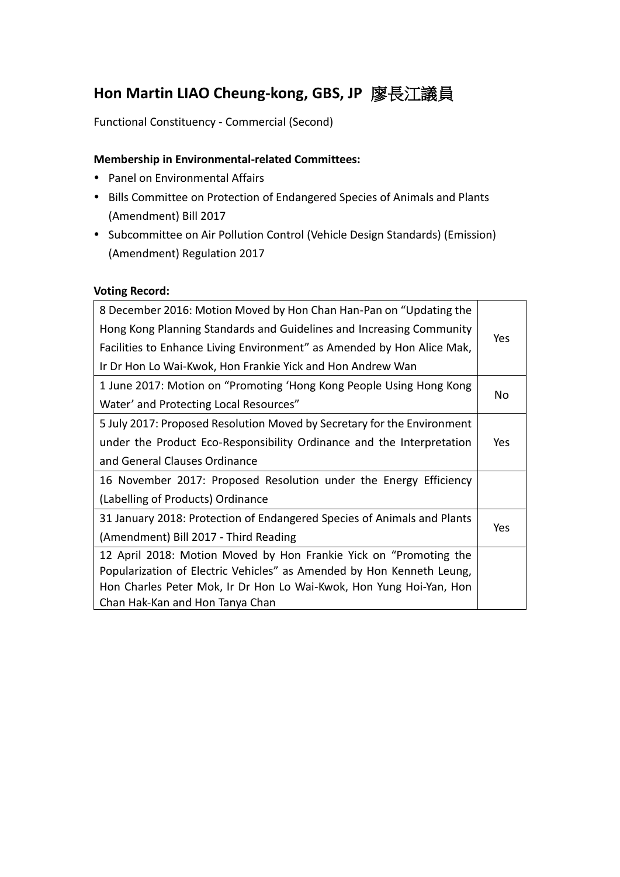# **Hon Martin LIAO Cheung-kong, GBS, JP** 廖長江議員

Functional Constituency - Commercial (Second)

## **Membership in Environmental-related Committees:**

- Panel on Environmental Affairs
- Bills Committee on Protection of Endangered Species of Animals and Plants (Amendment) Bill 2017
- Subcommittee on Air Pollution Control (Vehicle Design Standards) (Emission) (Amendment) Regulation 2017

### **Voting Record:**

| 8 December 2016: Motion Moved by Hon Chan Han-Pan on "Updating the      |            |
|-------------------------------------------------------------------------|------------|
| Hong Kong Planning Standards and Guidelines and Increasing Community    | <b>Yes</b> |
| Facilities to Enhance Living Environment" as Amended by Hon Alice Mak,  |            |
| Ir Dr Hon Lo Wai-Kwok, Hon Frankie Yick and Hon Andrew Wan              |            |
| 1 June 2017: Motion on "Promoting 'Hong Kong People Using Hong Kong     |            |
| Water' and Protecting Local Resources"                                  | No         |
| 5 July 2017: Proposed Resolution Moved by Secretary for the Environment |            |
| under the Product Eco-Responsibility Ordinance and the Interpretation   | Yes        |
| and General Clauses Ordinance                                           |            |
| 16 November 2017: Proposed Resolution under the Energy Efficiency       |            |
| (Labelling of Products) Ordinance                                       |            |
| 31 January 2018: Protection of Endangered Species of Animals and Plants |            |
| (Amendment) Bill 2017 - Third Reading                                   | Yes        |
| 12 April 2018: Motion Moved by Hon Frankie Yick on "Promoting the       |            |
| Popularization of Electric Vehicles" as Amended by Hon Kenneth Leung,   |            |
| Hon Charles Peter Mok, Ir Dr Hon Lo Wai-Kwok, Hon Yung Hoi-Yan, Hon     |            |
| Chan Hak-Kan and Hon Tanya Chan                                         |            |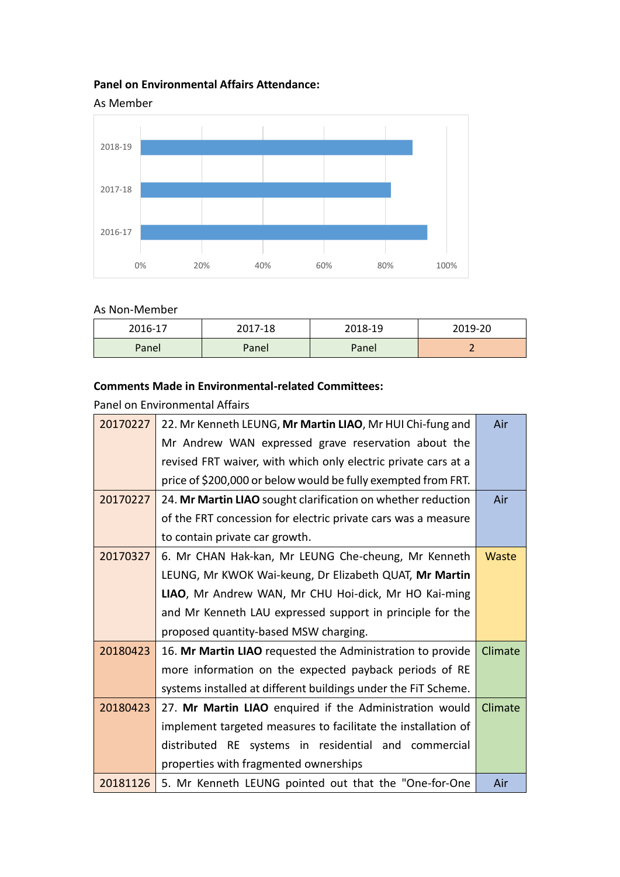# **Panel on Environmental Affairs Attendance:**





#### As Non-Member

| 2016-17 | 2017-18 | 2018-19 | 2019-20 |
|---------|---------|---------|---------|
| Panel   | Panel   | Panel   |         |

## **Comments Made in Environmental-related Committees:**

Panel on Environmental Affairs

| 20170227 | 22. Mr Kenneth LEUNG, Mr Martin LIAO, Mr HUI Chi-fung and      | Air          |
|----------|----------------------------------------------------------------|--------------|
|          | Mr Andrew WAN expressed grave reservation about the            |              |
|          | revised FRT waiver, with which only electric private cars at a |              |
|          | price of \$200,000 or below would be fully exempted from FRT.  |              |
| 20170227 | 24. Mr Martin LIAO sought clarification on whether reduction   | Air          |
|          | of the FRT concession for electric private cars was a measure  |              |
|          | to contain private car growth.                                 |              |
| 20170327 | 6. Mr CHAN Hak-kan, Mr LEUNG Che-cheung, Mr Kenneth            | <b>Waste</b> |
|          | LEUNG, Mr KWOK Wai-keung, Dr Elizabeth QUAT, Mr Martin         |              |
|          | LIAO, Mr Andrew WAN, Mr CHU Hoi-dick, Mr HO Kai-ming           |              |
|          | and Mr Kenneth LAU expressed support in principle for the      |              |
|          | proposed quantity-based MSW charging.                          |              |
| 20180423 | 16. Mr Martin LIAO requested the Administration to provide     | Climate      |
|          | more information on the expected payback periods of RE         |              |
|          | systems installed at different buildings under the FiT Scheme. |              |
| 20180423 | 27. Mr Martin LIAO enquired if the Administration would        | Climate      |
|          | implement targeted measures to facilitate the installation of  |              |
|          | distributed RE systems in residential and commercial           |              |
|          | properties with fragmented ownerships                          |              |
| 20181126 | 5. Mr Kenneth LEUNG pointed out that the "One-for-One          | Air          |